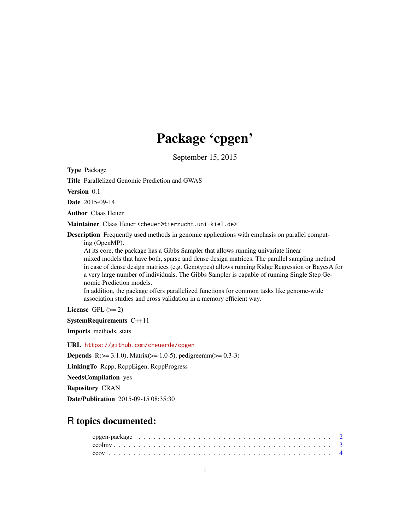# Package 'cpgen'

September 15, 2015

Type Package

Title Parallelized Genomic Prediction and GWAS

Version 0.1

Date 2015-09-14

Author Claas Heuer

Maintainer Claas Heuer <cheuer@tierzucht.uni-kiel.de>

Description Frequently used methods in genomic applications with emphasis on parallel computing (OpenMP).

At its core, the package has a Gibbs Sampler that allows running univariate linear mixed models that have both, sparse and dense design matrices. The parallel sampling method in case of dense design matrices (e.g. Genotypes) allows running Ridge Regression or BayesA for a very large number of individuals. The Gibbs Sampler is capable of running Single Step Genomic Prediction models.

In addition, the package offers parallelized functions for common tasks like genome-wide association studies and cross validation in a memory efficient way.

License GPL  $(>= 2)$ 

SystemRequirements C++11

Imports methods, stats

URL <https://github.com/cheuerde/cpgen>

**Depends** R( $>= 3.1.0$ ), Matrix( $>= 1.0-5$ ), pedigreemm( $>= 0.3-3$ )

LinkingTo Rcpp, RcppEigen, RcppProgress

NeedsCompilation yes

Repository CRAN

Date/Publication 2015-09-15 08:35:30

# R topics documented: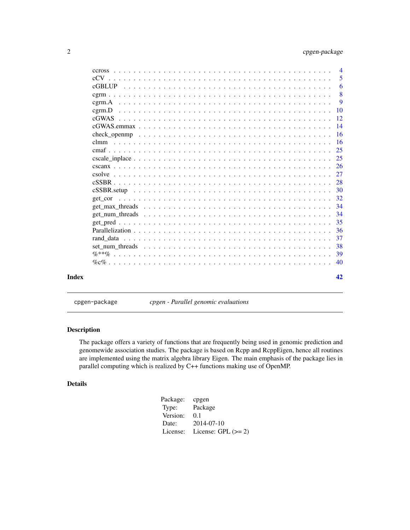<span id="page-1-0"></span>

|       |                                                                                                                                                   | 5               |
|-------|---------------------------------------------------------------------------------------------------------------------------------------------------|-----------------|
|       |                                                                                                                                                   | 6               |
|       |                                                                                                                                                   | 8               |
|       |                                                                                                                                                   | 9               |
|       | $c$ grm. $D$                                                                                                                                      | $\overline{10}$ |
|       |                                                                                                                                                   | -12             |
|       |                                                                                                                                                   |                 |
|       |                                                                                                                                                   |                 |
|       |                                                                                                                                                   |                 |
|       |                                                                                                                                                   |                 |
|       |                                                                                                                                                   |                 |
|       |                                                                                                                                                   |                 |
|       |                                                                                                                                                   |                 |
|       |                                                                                                                                                   |                 |
|       |                                                                                                                                                   |                 |
|       | get cor                                                                                                                                           |                 |
|       |                                                                                                                                                   |                 |
|       | get num threads $\ldots$ , $\ldots$ , $\ldots$ , $\ldots$ , $\ldots$ , $\ldots$ , $\ldots$ , $\ldots$ , $\ldots$ , $\ldots$ , $\ldots$ , $\ldots$ | -34             |
|       |                                                                                                                                                   | 35              |
|       |                                                                                                                                                   |                 |
|       |                                                                                                                                                   | 37              |
|       |                                                                                                                                                   | -38             |
|       |                                                                                                                                                   |                 |
|       |                                                                                                                                                   |                 |
| Index |                                                                                                                                                   | 42              |

cpgen-package *cpgen - Parallel genomic evaluations*

# Description

The package offers a variety of functions that are frequently being used in genomic prediction and genomewide association studies. The package is based on Rcpp and RcppEigen, hence all routines are implemented using the matrix algebra library Eigen. The main emphasis of the package lies in parallel computing which is realized by C++ functions making use of OpenMP.

# Details

| Package: | cpgen                 |
|----------|-----------------------|
| Type:    | Package               |
| Version: | 0.1                   |
| Date:    | 2014-07-10            |
| License: | License: GPL $(>= 2)$ |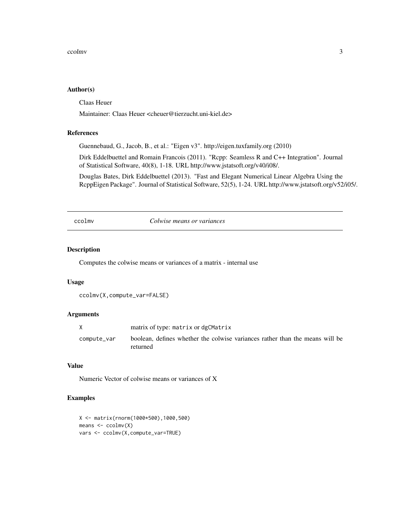#### <span id="page-2-0"></span>ccolmv 3

#### Author(s)

Claas Heuer

Maintainer: Claas Heuer <cheuer@tierzucht.uni-kiel.de>

# References

Guennebaud, G., Jacob, B., et al.: "Eigen v3". http://eigen.tuxfamily.org (2010)

Dirk Eddelbuettel and Romain Francois (2011). "Rcpp: Seamless R and C++ Integration". Journal of Statistical Software, 40(8), 1-18. URL http://www.jstatsoft.org/v40/i08/.

Douglas Bates, Dirk Eddelbuettel (2013). "Fast and Elegant Numerical Linear Algebra Using the RcppEigen Package". Journal of Statistical Software, 52(5), 1-24. URL http://www.jstatsoft.org/v52/i05/.

ccolmv *Colwise means or variances*

# Description

Computes the colwise means or variances of a matrix - internal use

# Usage

```
ccolmv(X,compute_var=FALSE)
```
# Arguments

|             | matrix of type: matrix or dgCMatrix                                                      |
|-------------|------------------------------------------------------------------------------------------|
| compute var | boolean, defines whether the colwise variances rather than the means will be<br>returned |

# Value

Numeric Vector of colwise means or variances of X

# Examples

```
X <- matrix(rnorm(1000*500),1000,500)
means <- ccolmv(X)
vars <- ccolmv(X,compute_var=TRUE)
```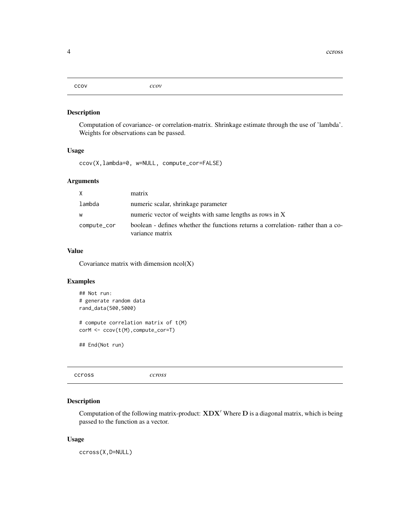<span id="page-3-0"></span>ccov *ccov*

# Description

Computation of covariance- or correlation-matrix. Shrinkage estimate through the use of 'lambda'. Weights for observations can be passed.

# Usage

ccov(X,lambda=0, w=NULL, compute\_cor=FALSE)

# Arguments

| X           | matrix                                                                                              |
|-------------|-----------------------------------------------------------------------------------------------------|
| lambda      | numeric scalar, shrinkage parameter                                                                 |
| W           | numeric vector of weights with same lengths as rows in X                                            |
| compute_cor | boolean - defines whether the functions returns a correlation- rather than a co-<br>variance matrix |

# Value

Covariance matrix with dimension ncol(X)

# Examples

```
## Not run:
# generate random data
rand_data(500,5000)
# compute correlation matrix of t(M)
corM <- ccov(t(M),compute_cor=T)
```
## End(Not run)

ccross *ccross*

# Description

Computation of the following matrix-product:  $XDX'$  Where  $D$  is a diagonal matrix, which is being passed to the function as a vector.

#### Usage

ccross(X,D=NULL)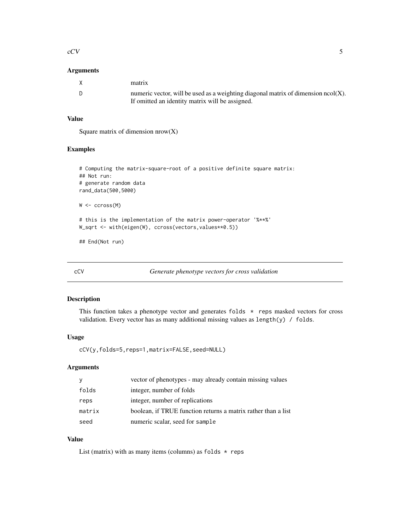#### <span id="page-4-0"></span> $\rm{cCV}$  5

# Arguments

| X   | matrix                                                                                                                                  |
|-----|-----------------------------------------------------------------------------------------------------------------------------------------|
| - D | numeric vector, will be used as a weighting diagonal matrix of dimension $ncol(X)$ .<br>If omitted an identity matrix will be assigned. |

# Value

Square matrix of dimension nrow(X)

# Examples

```
# Computing the matrix-square-root of a positive definite square matrix:
## Not run:
# generate random data
rand_data(500,5000)
W <- ccross(M)
# this is the implementation of the matrix power-operator '%**%'
W_sqrt <- with(eigen(W), ccross(vectors, values**0.5))
```
## End(Not run)

<span id="page-4-1"></span>cCV *Generate phenotype vectors for cross validation*

# Description

This function takes a phenotype vector and generates folds \* reps masked vectors for cross validation. Every vector has as many additional missing values as length(y) / folds.

#### Usage

cCV(y,folds=5,reps=1,matrix=FALSE,seed=NULL)

# Arguments

| <b>V</b> | vector of phenotypes - may already contain missing values     |
|----------|---------------------------------------------------------------|
| folds    | integer, number of folds                                      |
| reps     | integer, number of replications                               |
| matrix   | boolean, if TRUE function returns a matrix rather than a list |
| seed     | numeric scalar, seed for sample                               |

# Value

List (matrix) with as many items (columns) as folds  $*$  reps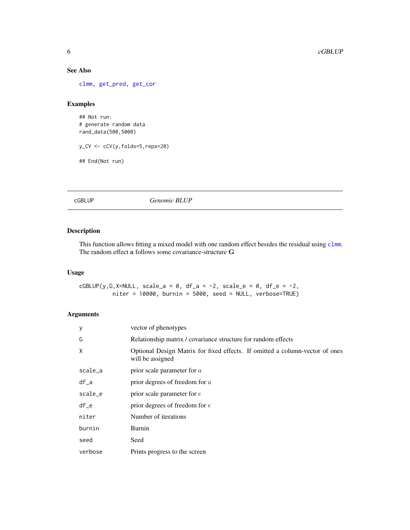# See Also

[clmm,](#page-15-1) [get\\_pred,](#page-34-1) [get\\_cor](#page-31-1)

# Examples

## Not run: # generate random data rand\_data(500,5000)

y\_CV <- cCV(y,folds=5,reps=20)

## End(Not run)

<span id="page-5-1"></span>cGBLUP *Genomic BLUP*

# Description

This function allows fitting a mixed model with one random effect besides the residual using [clmm](#page-15-1). The random effect a follows some covariance-structure G

# Usage

 $cGBLUP(y,G,X=NULL, scale_a = 0, df_a = -2, scale_e = 0, df_e = -2,$ niter = 10000, burnin = 5000, seed = NULL, verbose=TRUE)

# Arguments

| У       | vector of phenotypes                                                                             |
|---------|--------------------------------------------------------------------------------------------------|
| G       | Relationship matrix / covariance structure for random effects                                    |
| X       | Optional Design Matrix for fixed effects. If omitted a column-vector of ones<br>will be assigned |
| scale_a | prior scale parameter for $a$                                                                    |
| $df_a$  | prior degrees of freedom for $a$                                                                 |
| scale_e | prior scale parameter for $e$                                                                    |
| $df_e$  | prior degrees of freedom for $e$                                                                 |
| niter   | Number of iterations                                                                             |
| burnin  | Burnin                                                                                           |
| seed    | Seed                                                                                             |
| verbose | Prints progress to the screen                                                                    |

<span id="page-5-0"></span>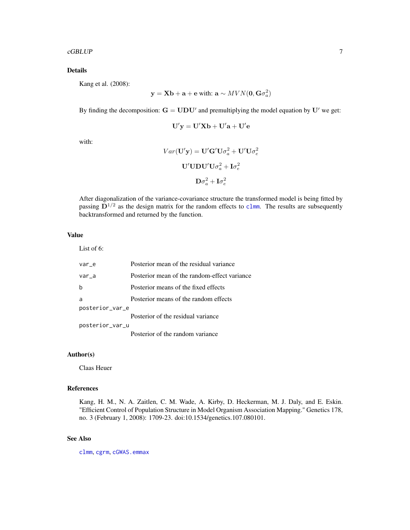#### <span id="page-6-0"></span>cGBLUP 7

# Details

Kang et al. (2008):

$$
\mathbf{y} = \mathbf{X}\mathbf{b} + \mathbf{a} + \mathbf{e} \text{ with: } \mathbf{a} \sim MVN(\mathbf{0}, \mathbf{G}\sigma_a^2)
$$

By finding the decomposition:  $G = UDU'$  and premultiplying the model equation by U' we get:

$$
\mathbf{U}'\mathbf{y} = \mathbf{U}'\mathbf{X}\mathbf{b} + \mathbf{U}'\mathbf{a} + \mathbf{U}'\mathbf{e}
$$

with:

$$
Var(\mathbf{U'y}) = \mathbf{U'G'U}\sigma_a^2 + \mathbf{U'U}\sigma_e^2
$$

$$
\mathbf{U'UDU'U}\sigma_a^2 + \mathbf{I}\sigma_e^2
$$

$$
\mathbf{D}\sigma_a^2 + \mathbf{I}\sigma_e^2
$$

After diagonalization of the variance-covariance structure the transformed model is being fitted by passing  $\mathbf{D}^{1/2}$  as the design matrix for the random effects to [clmm](#page-15-1). The results are subsequently backtransformed and returned by the function.

# Value

List of 6:

| var e           | Posterior mean of the residual variance      |  |
|-----------------|----------------------------------------------|--|
| var_a           | Posterior mean of the random-effect variance |  |
| b               | Posterior means of the fixed effects         |  |
| a               | Posterior means of the random effects        |  |
| posterior_var_e |                                              |  |
|                 | Posterior of the residual variance           |  |
| posterior_var_u |                                              |  |
|                 | Posterior of the random variance             |  |

# Author(s)

Claas Heuer

#### References

Kang, H. M., N. A. Zaitlen, C. M. Wade, A. Kirby, D. Heckerman, M. J. Daly, and E. Eskin. "Efficient Control of Population Structure in Model Organism Association Mapping." Genetics 178, no. 3 (February 1, 2008): 1709-23. doi:10.1534/genetics.107.080101.

# See Also

[clmm](#page-15-1), [cgrm](#page-7-1), [cGWAS.emmax](#page-13-1)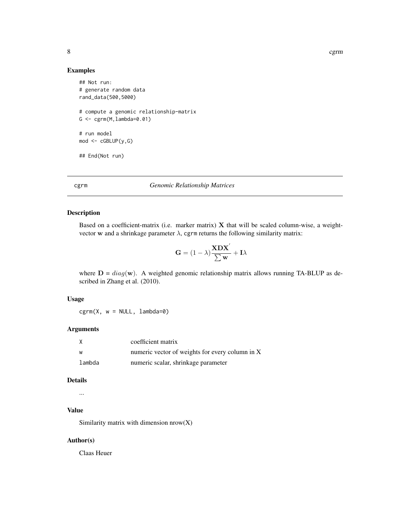# Examples

```
## Not run:
# generate random data
rand_data(500,5000)
# compute a genomic relationship-matrix
G \leftarrow \text{cgrm}(M, \text{lambda=0.01})# run model
mod < -cGBLUP(y,G)## End(Not run)
```
#### <span id="page-7-1"></span>cgrm *Genomic Relationship Matrices*

#### Description

Based on a coefficient-matrix (i.e. marker matrix)  $X$  that will be scaled column-wise, a weightvector w and a shrinkage parameter  $\lambda$ , cgrm returns the following similarity matrix:

$$
\mathbf{G} = (1-\lambda)\frac{\mathbf{X}\mathbf{D}\mathbf{X}^{'}}{\sum\mathbf{w}} + \mathbf{I}\lambda
$$

where  $D = diag(\mathbf{w})$ . A weighted genomic relationship matrix allows running TA-BLUP as described in Zhang et al. (2010).

# Usage

 $cgrm(X, w = NULL, lambda=0)$ 

## Arguments

| X      | coefficient matrix                              |
|--------|-------------------------------------------------|
| W      | numeric vector of weights for every column in X |
| lambda | numeric scalar, shrinkage parameter             |

# Details

...

# Value

Similarity matrix with dimension nrow(X)

# Author(s)

Claas Heuer

<span id="page-7-0"></span>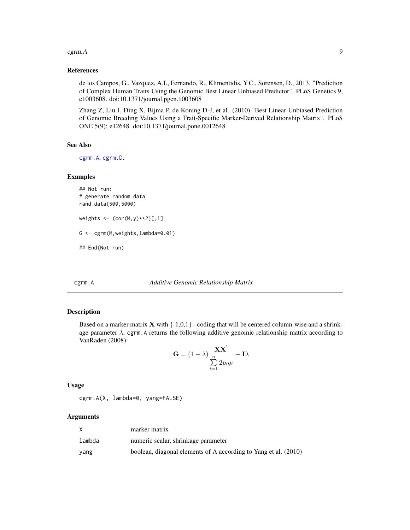#### <span id="page-8-0"></span> $c$ grm.A 9

#### References

de los Campos, G., Vazquez, A.I., Fernando, R., Klimentidis, Y.C., Sorensen, D., 2013. "Prediction of Complex Human Traits Using the Genomic Best Linear Unbiased Predictor". PLoS Genetics 9, e1003608. doi:10.1371/journal.pgen.1003608

Zhang Z, Liu J, Ding X, Bijma P, de Koning D-J, et al. (2010) "Best Linear Unbiased Prediction of Genomic Breeding Values Using a Trait-Specific Marker-Derived Relationship Matrix". PLoS ONE 5(9): e12648. doi:10.1371/journal.pone.0012648

#### See Also

[cgrm.A](#page-8-1), [cgrm.D](#page-9-1).

# Examples

```
## Not run:
# generate random data
rand_data(500,5000)
weights \leq (cor(M, y) **2)[, 1]
G <- cgrm(M,weights,lambda=0.01)
## End(Not run)
```
<span id="page-8-1"></span>cgrm.A *Additive Genomic Relationship Matrix*

#### Description

Based on a marker matrix  $X$  with  $\{-1,0,1\}$  - coding that will be centered column-wise and a shrinkage parameter  $\lambda$ , cgrm. A returns the following additive genomic relationship matrix according to VanRaden (2008):

$$
\mathbf{G} = (1 - \lambda) \frac{\mathbf{X} \mathbf{X}^{'}}{\sum\limits_{i=1}^{n} 2p_i q_i} + \mathbf{I} \lambda
$$

Usage

cgrm.A(X, lambda=0, yang=FALSE)

#### Arguments

|        | marker matrix                                                   |
|--------|-----------------------------------------------------------------|
| lambda | numeric scalar, shrinkage parameter                             |
| yang   | boolean, diagonal elements of A according to Yang et al. (2010) |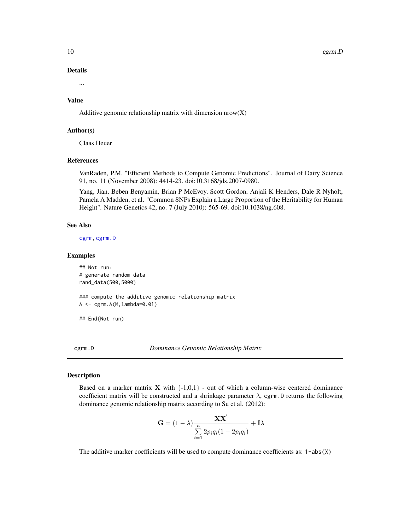<span id="page-9-0"></span>10 cgrm.D

#### Details

...

# Value

Additive genomic relationship matrix with dimension  $nrow(X)$ 

#### Author(s)

Claas Heuer

# References

VanRaden, P.M. "Efficient Methods to Compute Genomic Predictions". Journal of Dairy Science 91, no. 11 (November 2008): 4414-23. doi:10.3168/jds.2007-0980.

Yang, Jian, Beben Benyamin, Brian P McEvoy, Scott Gordon, Anjali K Henders, Dale R Nyholt, Pamela A Madden, et al. "Common SNPs Explain a Large Proportion of the Heritability for Human Height". Nature Genetics 42, no. 7 (July 2010): 565-69. doi:10.1038/ng.608.

# See Also

[cgrm](#page-7-1), [cgrm.D](#page-9-1)

#### Examples

## Not run: # generate random data rand\_data(500,5000)

### compute the additive genomic relationship matrix A <- cgrm.A(M,lambda=0.01)

## End(Not run)

<span id="page-9-1"></span>cgrm.D *Dominance Genomic Relationship Matrix*

# **Description**

Based on a marker matrix  $X$  with  $\{-1,0,1\}$  - out of which a column-wise centered dominance coefficient matrix will be constructed and a shrinkage parameter  $\lambda$ , cgrm. D returns the following dominance genomic relationship matrix according to Su et al. (2012):

$$
\mathbf{G} = (1 - \lambda) \frac{\mathbf{X} \mathbf{X}^{'}}{\sum\limits_{i=1}^{n} 2p_i q_i (1 - 2p_i q_i)} + \mathbf{I} \lambda
$$

The additive marker coefficients will be used to compute dominance coefficients as:  $1$ -abs $(X)$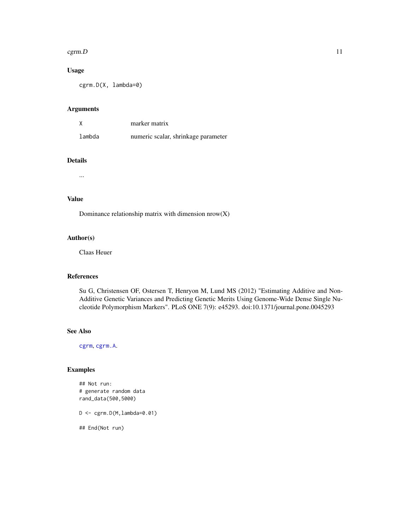#### <span id="page-10-0"></span> $c<sub>g</sub>$ cgrm.D  $11$

# Usage

cgrm.D(X, lambda=0)

# Arguments

|        | marker matrix                       |
|--------|-------------------------------------|
| lambda | numeric scalar, shrinkage parameter |

# Details

...

# Value

Dominance relationship matrix with dimension  $nrow(X)$ 

# Author(s)

Claas Heuer

# References

Su G, Christensen OF, Ostersen T, Henryon M, Lund MS (2012) "Estimating Additive and Non-Additive Genetic Variances and Predicting Genetic Merits Using Genome-Wide Dense Single Nucleotide Polymorphism Markers". PLoS ONE 7(9): e45293. doi:10.1371/journal.pone.0045293

# See Also

[cgrm](#page-7-1), [cgrm.A](#page-8-1).

# Examples

```
## Not run:
# generate random data
rand_data(500,5000)
```
 $D \leftarrow \text{cgrm.D(M, lambda=0.01)}$ 

## End(Not run)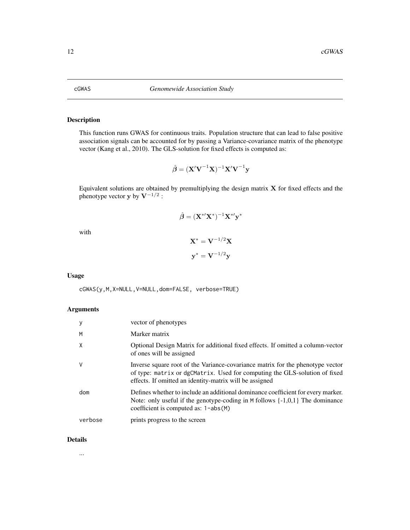# Description

This function runs GWAS for continuous traits. Population structure that can lead to false positive association signals can be accounted for by passing a Variance-covariance matrix of the phenotype vector (Kang et al., 2010). The GLS-solution for fixed effects is computed as:

$$
\hat{\boldsymbol{\beta}} = (\mathbf{X}' \mathbf{V}^{-1} \mathbf{X})^{-1} \mathbf{X}' \mathbf{V}^{-1} \mathbf{y}
$$

Equivalent solutions are obtained by premultiplying the design matrix X for fixed effects and the phenotype vector y by  $V^{-1/2}$  :

$$
\hat{\boldsymbol{\beta}} = (\mathbf{X}^{* \prime} \mathbf{X}^{*})^{-1} \mathbf{X}^{* \prime} \mathbf{y}^{*}
$$

with

$$
\mathbf{X}^* = \mathbf{V}^{-1/2}\mathbf{X}
$$

$$
\mathbf{y}^* = \mathbf{V}^{-1/2}\mathbf{y}
$$

Usage

cGWAS(y,M,X=NULL,V=NULL,dom=FALSE, verbose=TRUE)

# Arguments

|         | vector of phenotypes                                                                                                                                                                                                    |
|---------|-------------------------------------------------------------------------------------------------------------------------------------------------------------------------------------------------------------------------|
| M       | Marker matrix                                                                                                                                                                                                           |
| Χ       | Optional Design Matrix for additional fixed effects. If omitted a column-vector<br>of ones will be assigned                                                                                                             |
|         | Inverse square root of the Variance-covariance matrix for the phenotype vector<br>of type: matrix or dgCMatrix. Used for computing the GLS-solution of fixed<br>effects. If omitted an identity-matrix will be assigned |
| dom     | Defines whether to include an additional dominance coefficient for every marker.<br>Note: only useful if the genotype-coding in $M$ follows $\{-1,0,1\}$ The dominance<br>coefficient is computed as: $1 - abs(M)$      |
| verbose | prints progress to the screen                                                                                                                                                                                           |

#### Details

...

<span id="page-11-1"></span><span id="page-11-0"></span>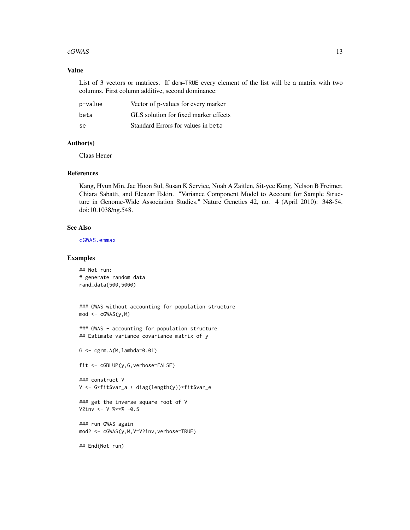#### <span id="page-12-0"></span> $cGWAS$  13

# Value

List of 3 vectors or matrices. If dom=TRUE every element of the list will be a matrix with two columns. First column additive, second dominance:

| p-value | Vector of p-values for every marker   |
|---------|---------------------------------------|
| beta    | GLS solution for fixed marker effects |
| -se     | Standard Errors for values in beta    |

# Author(s)

Claas Heuer

# References

Kang, Hyun Min, Jae Hoon Sul, Susan K Service, Noah A Zaitlen, Sit-yee Kong, Nelson B Freimer, Chiara Sabatti, and Eleazar Eskin. "Variance Component Model to Account for Sample Structure in Genome-Wide Association Studies." Nature Genetics 42, no. 4 (April 2010): 348-54. doi:10.1038/ng.548.

#### See Also

[cGWAS.emmax](#page-13-1)

#### Examples

```
## Not run:
# generate random data
rand_data(500,5000)
```

```
### GWAS without accounting for population structure
mod \leftarrow cGWAS(y,M)
```

```
### GWAS - accounting for population structure
## Estimate variance covariance matrix of y
```
 $G \leftarrow \text{cgrm.A(M,lambda=0.01)}$ 

```
fit <- cGBLUP(y,G,verbose=FALSE)
```

```
### construct V
V <- G*fit$var_a + diag(length(y))*fit$var_e
```

```
### get the inverse square root of V
V2inv <- V %**% -0.5
```

```
### run GWAS again
mod2 <- cGWAS(y,M,V=V2inv,verbose=TRUE)
```
## End(Not run)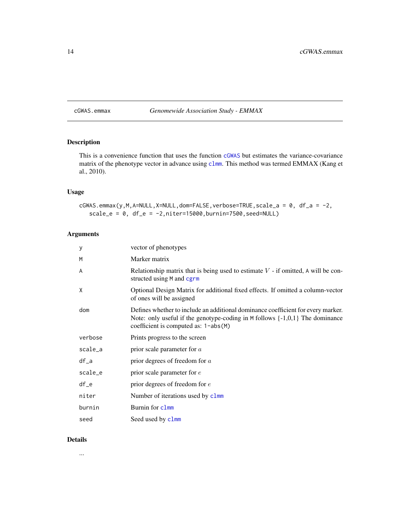<span id="page-13-1"></span><span id="page-13-0"></span>cGWAS.emmax *Genomewide Association Study - EMMAX*

# Description

This is a convenience function that uses the function [cGWAS](#page-11-1) but estimates the variance-covariance matrix of the phenotype vector in advance using [clmm](#page-15-1). This method was termed EMMAX (Kang et al., 2010).

# Usage

cGWAS.emmax(y,M,A=NULL,X=NULL,dom=FALSE,verbose=TRUE,scale\_a = 0, df\_a = -2,  $scale_e = 0$ ,  $df_e = -2$ ,  $niter=15000$ ,  $burnin=7500$ ,  $seed=NULL$ )

# Arguments

| у       | vector of phenotypes                                                                                                                                                                                           |
|---------|----------------------------------------------------------------------------------------------------------------------------------------------------------------------------------------------------------------|
| M       | Marker matrix                                                                                                                                                                                                  |
| A       | Relationship matrix that is being used to estimate $V$ - if omitted, A will be con-<br>structed using M and cgrm                                                                                               |
| X       | Optional Design Matrix for additional fixed effects. If omitted a column-vector<br>of ones will be assigned                                                                                                    |
| dom     | Defines whether to include an additional dominance coefficient for every marker.<br>Note: only useful if the genotype-coding in $M$ follows $\{-1,0,1\}$ The dominance<br>coefficient is computed as: 1-abs(M) |
| verbose | Prints progress to the screen                                                                                                                                                                                  |
| scale_a | prior scale parameter for $a$                                                                                                                                                                                  |
| $df_a$  | prior degrees of freedom for $a$                                                                                                                                                                               |
| scale_e | prior scale parameter for $e$                                                                                                                                                                                  |
| $df_e$  | prior degrees of freedom for $e$                                                                                                                                                                               |
| niter   | Number of iterations used by clmm                                                                                                                                                                              |
| burnin  | Burnin for clmm                                                                                                                                                                                                |
| seed    | Seed used by clmm                                                                                                                                                                                              |

# Details

...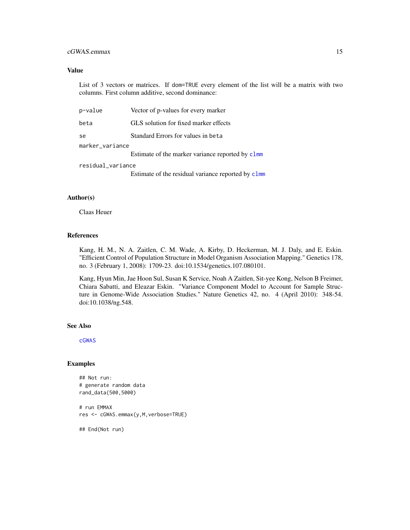# <span id="page-14-0"></span>cGWAS.emmax 15

#### Value

List of 3 vectors or matrices. If dom=TRUE every element of the list will be a matrix with two columns. First column additive, second dominance:

| p-value           | Vector of p-values for every marker                |
|-------------------|----------------------------------------------------|
| beta              | GLS solution for fixed marker effects              |
| se                | Standard Errors for values in beta                 |
| marker_variance   |                                                    |
|                   | Estimate of the marker variance reported by clmm   |
| residual_variance |                                                    |
|                   | Estimate of the residual variance reported by clmm |

#### Author(s)

Claas Heuer

# References

Kang, H. M., N. A. Zaitlen, C. M. Wade, A. Kirby, D. Heckerman, M. J. Daly, and E. Eskin. "Efficient Control of Population Structure in Model Organism Association Mapping." Genetics 178, no. 3 (February 1, 2008): 1709-23. doi:10.1534/genetics.107.080101.

Kang, Hyun Min, Jae Hoon Sul, Susan K Service, Noah A Zaitlen, Sit-yee Kong, Nelson B Freimer, Chiara Sabatti, and Eleazar Eskin. "Variance Component Model to Account for Sample Structure in Genome-Wide Association Studies." Nature Genetics 42, no. 4 (April 2010): 348-54. doi:10.1038/ng.548.

#### See Also

[cGWAS](#page-11-1)

# Examples

```
## Not run:
# generate random data
rand_data(500,5000)
```
# run EMMAX res <- cGWAS.emmax(y,M,verbose=TRUE)

## End(Not run)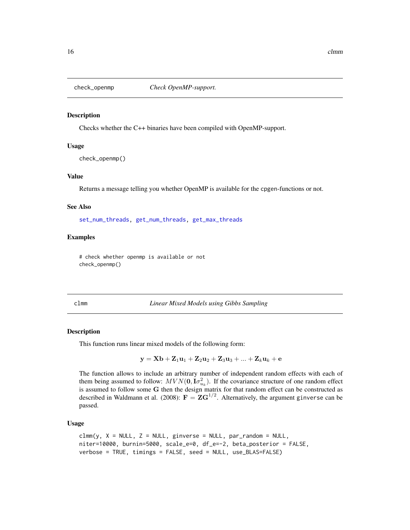<span id="page-15-2"></span><span id="page-15-0"></span>

#### Description

Checks whether the C++ binaries have been compiled with OpenMP-support.

## Usage

check\_openmp()

#### Value

Returns a message telling you whether OpenMP is available for the cpgen-functions or not.

#### See Also

[set\\_num\\_threads,](#page-37-1) [get\\_num\\_threads,](#page-33-1) [get\\_max\\_threads](#page-33-2)

#### Examples

# check whether openmp is available or not check\_openmp()

<span id="page-15-1"></span>clmm *Linear Mixed Models using Gibbs Sampling*

#### Description

This function runs linear mixed models of the following form:

$$
\mathbf{y} = \mathbf{X}\mathbf{b} + \mathbf{Z}_1\mathbf{u}_1 + \mathbf{Z}_2\mathbf{u}_2 + \mathbf{Z}_3\mathbf{u}_3 + ... + \mathbf{Z}_k\mathbf{u}_k + \mathbf{e}
$$

The function allows to include an arbitrary number of independent random effects with each of them being assumed to follow:  $MVN(\mathbf{0}, \mathbf{I}\sigma_{u_k}^2)$ . If the covariance structure of one random effect is assumed to follow some G then the design matrix for that random effect can be constructed as described in Waldmann et al. (2008):  $\mathbf{F} = \mathbf{Z} \mathbf{G}^{1/2}$ . Alternatively, the argument ginverse can be passed.

#### Usage

```
clmm(y, X = NULL, Z = NULL, ginverse = NULL, par\_random = NULL,niter=10000, burnin=5000, scale_e=0, df_e=-2, beta_posterior = FALSE,
verbose = TRUE, timings = FALSE, seed = NULL, use_BLAS=FALSE)
```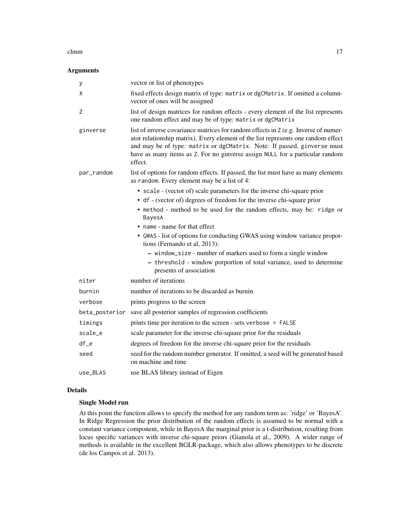# Arguments

| У              | vector or list of phenotypes                                                                                                                                                                                                                                                                                                                   |
|----------------|------------------------------------------------------------------------------------------------------------------------------------------------------------------------------------------------------------------------------------------------------------------------------------------------------------------------------------------------|
| X              | fixed effects design matrix of type: matrix or dgCMatrix. If omitted a column-<br>vector of ones will be assigned                                                                                                                                                                                                                              |
| Ζ              | list of design matrices for random effects - every element of the list represents<br>one random effect and may be of type: matrix or dgCMatrix                                                                                                                                                                                                 |
| ginverse       | list of inverse covariance matrices for random effects in Z (e.g. Inverse of numer-<br>ator relationship matrix). Every element of the list represents one random effect<br>and may be of type: matrix or dgCMatrix. Note: If passed, ginverse must<br>have as many items as Z. For no ginverse assign NULL for a particular random<br>effect. |
| par_random     | list of options for random effects. If passed, the list must have as many elements<br>as random. Every element may be a list of 4:                                                                                                                                                                                                             |
|                | • scale - (vector of) scale parameters for the inverse chi-square prior<br>• df - (vector of) degrees of freedom for the inverse chi-square prior<br>• method - method to be used for the random effects, may be: ridge or<br>BayesA                                                                                                           |
|                | • name - name for that effect                                                                                                                                                                                                                                                                                                                  |
|                | • GWAS - list of options for conducting GWAS using window variance propor-<br>tions (Fernando et al, 2013):                                                                                                                                                                                                                                    |
|                | - window_size - number of markers used to form a single window<br>- threshold - window porportion of total variance, used to determine                                                                                                                                                                                                         |
|                | presents of association                                                                                                                                                                                                                                                                                                                        |
| niter          | number of iterations                                                                                                                                                                                                                                                                                                                           |
| burnin         | number of iterations to be discarded as burnin                                                                                                                                                                                                                                                                                                 |
| verbose        | prints progress to the screen                                                                                                                                                                                                                                                                                                                  |
| beta_posterior | save all posterior samples of regression coefficients                                                                                                                                                                                                                                                                                          |
| timings        | prints time per iteration to the screen - sets verbose = FALSE                                                                                                                                                                                                                                                                                 |
| scale_e        | scale parameter for the inverse chi-square prior for the residuals                                                                                                                                                                                                                                                                             |
| $df_e$         | degrees of freedom for the inverse chi-square prior for the residuals                                                                                                                                                                                                                                                                          |
| seed           | seed for the random number generator. If omitted, a seed will be generated based<br>on machine and time                                                                                                                                                                                                                                        |
| use_BLAS       | use BLAS library instead of Eigen                                                                                                                                                                                                                                                                                                              |

# Details

# Single Model run

At this point the function allows to specify the method for any random term as: 'ridge' or 'BayesA'. In Ridge Regression the prior distribution of the random effects is assumed to be normal with a constant variance component, while in BayesA the marginal prior is a t-distribution, resulting from locus specific variances with inverse chi-square priors (Gianola et al., 2009). A wider range of methods is available in the excellent BGLR-package, which also allows phenotypes to be discrete (de los Campos et al. 2013).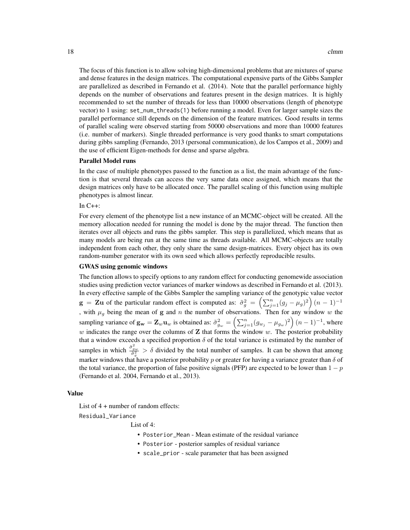The focus of this function is to allow solving high-dimensional problems that are mixtures of sparse and dense features in the design matrices. The computational expensive parts of the Gibbs Sampler are parallelized as described in Fernando et al. (2014). Note that the parallel performance highly depends on the number of observations and features present in the design matrices. It is highly recommended to set the number of threads for less than 10000 observations (length of phenotype vector) to 1 using: set\_num\_threads(1) before running a model. Even for larger sample sizes the parallel performance still depends on the dimension of the feature matrices. Good results in terms of parallel scaling were observed starting from 50000 observations and more than 10000 features (i.e. number of markers). Single threaded performance is very good thanks to smart computations during gibbs sampling (Fernando, 2013 (personal communication), de los Campos et al., 2009) and the use of efficient Eigen-methods for dense and sparse algebra.

#### Parallel Model runs

In the case of multiple phenotypes passed to the function as a list, the main advantage of the function is that several threads can access the very same data once assigned, which means that the design matrices only have to be allocated once. The parallel scaling of this function using multiple phenotypes is almost linear.

In  $C_{++}$ :

For every element of the phenotype list a new instance of an MCMC-object will be created. All the memory allocation needed for running the model is done by the major thread. The function then iterates over all objects and runs the gibbs sampler. This step is parallelized, which means that as many models are being run at the same time as threads available. All MCMC-objects are totally independent from each other, they only share the same design-matrices. Every object has its own random-number generator with its own seed which allows perfectly reproducible results.

#### GWAS using genomic windows

The function allows to specify options to any random effect for conducting genomewide association studies using prediction vector variances of marker windows as described in Fernando et al. (2013). In every effective sample of the Gibbs Sampler the sampling variance of the genotypic value vector  $g = Zu$  of the particular random effect is computed as:  $\tilde{\sigma}_g^2 = \left(\sum_{j=1}^n (g_j - \mu_g)^2\right) (n-1)^{-1}$ , with  $\mu<sub>g</sub>$  being the mean of g and n the number of observations. Then for any window w the sampling variance of  $\mathbf{g_w} = \mathbf{Z}_w \mathbf{u}_w$  is obtained as:  $\tilde{\sigma}_{g_w}^2 = \left(\sum_{j=1}^n (g_{w_j} - \mu_{g_w})^2\right) (n-1)^{-1}$ , where w indicates the range over the columns of **Z** that forms the window w. The posterior probability that a window exceeds a specified proportion  $\delta$  of the total variance is estimated by the number of samples in which  $\frac{\hat{\sigma}_{gw}^2}{\hat{\sigma}_a^2} > \delta$  divided by the total number of samples. It can be shown that among marker windows that have a posterior probability p or greater for having a variance greater than  $\delta$  of the total variance, the proportion of false positive signals (PFP) are expected to be lower than  $1 - p$ (Fernando et al. 2004, Fernando et al., 2013).

#### Value

List of 4 + number of random effects:

Residual\_Variance

List of 4:

- Posterior\_Mean Mean estimate of the residual variance
- Posterior posterior samples of residual variance
- scale\_prior scale parameter that has been assigned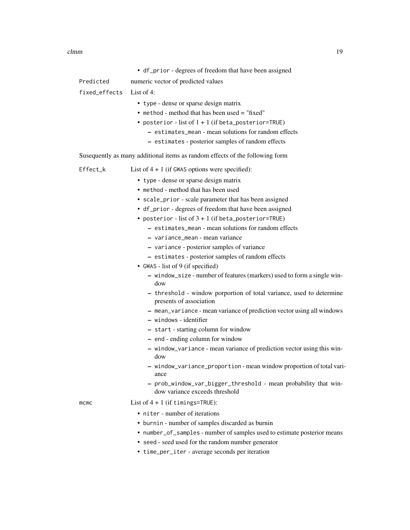|               | • df_prior - degrees of freedom that have been assigned                                                                                                                                                                                                                                                                                                                                                                                                                                                                                                                                                                                                                                                                                                                                                                                                                                                                                                                                                                        |
|---------------|--------------------------------------------------------------------------------------------------------------------------------------------------------------------------------------------------------------------------------------------------------------------------------------------------------------------------------------------------------------------------------------------------------------------------------------------------------------------------------------------------------------------------------------------------------------------------------------------------------------------------------------------------------------------------------------------------------------------------------------------------------------------------------------------------------------------------------------------------------------------------------------------------------------------------------------------------------------------------------------------------------------------------------|
| Predicted     | numeric vector of predicted values                                                                                                                                                                                                                                                                                                                                                                                                                                                                                                                                                                                                                                                                                                                                                                                                                                                                                                                                                                                             |
| fixed_effects | List of $4$ :                                                                                                                                                                                                                                                                                                                                                                                                                                                                                                                                                                                                                                                                                                                                                                                                                                                                                                                                                                                                                  |
|               | • type - dense or sparse design matrix<br>• method - method that has been used = "fixed"<br>• posterior - list of $1 + 1$ (if beta_posterior=TRUE)<br>- estimates_mean - mean solutions for random effects<br>- estimates - posterior samples of random effects                                                                                                                                                                                                                                                                                                                                                                                                                                                                                                                                                                                                                                                                                                                                                                |
|               | Susequently as many additional items as random effects of the following form                                                                                                                                                                                                                                                                                                                                                                                                                                                                                                                                                                                                                                                                                                                                                                                                                                                                                                                                                   |
| Effect_k      | List of $4 + 1$ (if GWAS options were specified):                                                                                                                                                                                                                                                                                                                                                                                                                                                                                                                                                                                                                                                                                                                                                                                                                                                                                                                                                                              |
|               | • type - dense or sparse design matrix<br>• method - method that has been used<br>• scale_prior - scale parameter that has been assigned<br>• df_prior - degrees of freedom that have been assigned<br>• posterior - list of $3 + 1$ (if beta_posterior=TRUE)<br>- estimates_mean - mean solutions for random effects<br>- variance_mean - mean variance<br>- variance - posterior samples of variance<br>- estimates - posterior samples of random effects<br>• GWAS - list of 9 (if specified)<br>- window_size - number of features (markers) used to form a single win-<br>dow<br>- threshold - window porportion of total variance, used to determine<br>presents of association<br>- mean_variance - mean variance of prediction vector using all windows<br>- windows - identifier<br>- start - starting column for window<br>- end - ending column for window<br>- window_variance - mean variance of prediction vector using this win-<br>dow<br>- window_variance_proportion - mean window proportion of total vari- |
|               | ance<br>- prob_window_var_bigger_threshold - mean probability that win-                                                                                                                                                                                                                                                                                                                                                                                                                                                                                                                                                                                                                                                                                                                                                                                                                                                                                                                                                        |
|               | dow variance exceeds threshold                                                                                                                                                                                                                                                                                                                                                                                                                                                                                                                                                                                                                                                                                                                                                                                                                                                                                                                                                                                                 |
| mcmc          | List of $4 + 1$ (if timings=TRUE):<br>• niter - number of iterations<br>• burnin - number of samples discarded as burnin<br>• number_of_samples - number of samples used to estimate posterior means<br>• seed - seed used for the random number generator<br>• time_per_iter - average seconds per iteration                                                                                                                                                                                                                                                                                                                                                                                                                                                                                                                                                                                                                                                                                                                  |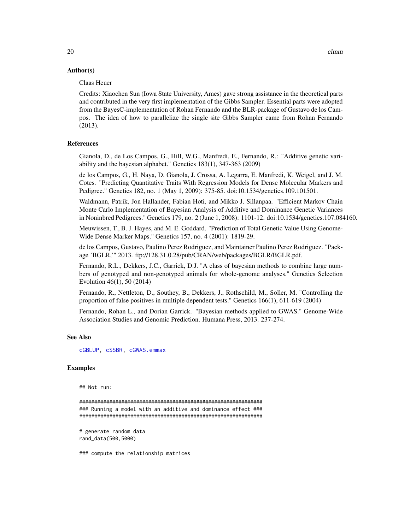# <span id="page-19-0"></span>Author(s)

#### Claas Heuer

Credits: Xiaochen Sun (Iowa State University, Ames) gave strong assistance in the theoretical parts and contributed in the very first implementation of the Gibbs Sampler. Essential parts were adopted from the BayesC-implementation of Rohan Fernando and the BLR-package of Gustavo de los Campos. The idea of how to parallelize the single site Gibbs Sampler came from Rohan Fernando (2013).

#### References

Gianola, D., de Los Campos, G., Hill, W.G., Manfredi, E., Fernando, R.: "Additive genetic variability and the bayesian alphabet." Genetics 183(1), 347-363 (2009)

de los Campos, G., H. Naya, D. Gianola, J. Crossa, A. Legarra, E. Manfredi, K. Weigel, and J. M. Cotes. "Predicting Quantitative Traits With Regression Models for Dense Molecular Markers and Pedigree." Genetics 182, no. 1 (May 1, 2009): 375-85. doi:10.1534/genetics.109.101501.

Waldmann, Patrik, Jon Hallander, Fabian Hoti, and Mikko J. Sillanpaa. "Efficient Markov Chain Monte Carlo Implementation of Bayesian Analysis of Additive and Dominance Genetic Variances in Noninbred Pedigrees." Genetics 179, no. 2 (June 1, 2008): 1101-12. doi:10.1534/genetics.107.084160.

Meuwissen, T., B. J. Hayes, and M. E. Goddard. "Prediction of Total Genetic Value Using Genome-Wide Dense Marker Maps." Genetics 157, no. 4 (2001): 1819-29.

de los Campos, Gustavo, Paulino Perez Rodriguez, and Maintainer Paulino Perez Rodriguez. "Package 'BGLR,'" 2013. ftp://128.31.0.28/pub/CRAN/web/packages/BGLR/BGLR.pdf.

Fernando, R.L., Dekkers, J.C., Garrick, D.J. "A class of bayesian methods to combine large numbers of genotyped and non-genotyped animals for whole-genome analyses." Genetics Selection Evolution 46(1), 50 (2014)

Fernando, R., Nettleton, D., Southey, B., Dekkers, J., Rothschild, M., Soller, M. "Controlling the proportion of false positives in multiple dependent tests." Genetics 166(1), 611-619 (2004)

Fernando, Rohan L., and Dorian Garrick. "Bayesian methods applied to GWAS." Genome-Wide Association Studies and Genomic Prediction. Humana Press, 2013. 237-274.

#### See Also

[cGBLUP,](#page-5-1) [cSSBR,](#page-27-1) [cGWAS.emmax](#page-13-1)

# Examples

## Not run:

############################################################# ### Running a model with an additive and dominance effect ### #############################################################

# generate random data rand\_data(500,5000)

### compute the relationship matrices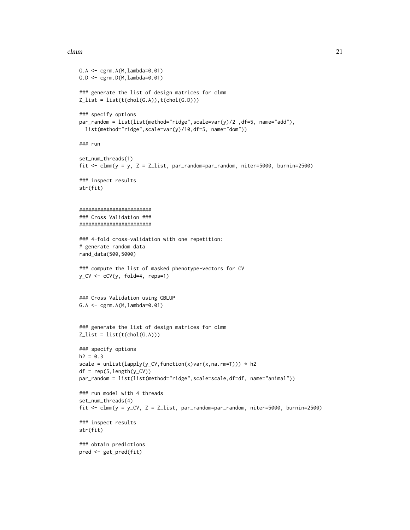```
G.A \leftarrow \text{cgrm.A}(M, \text{lambda=0.01})G.D <- \text{cgrm.D}(M, \text{lambda=0.01})### generate the list of design matrices for clmm
Z_list = list(t(chol(G.A)), t(chol(G.D)))### specify options
par_random = list(list(method="ridge",scale=var(y)/2 ,df=5, name="add"),
  list(method="ridge",scale=var(y)/10,df=5, name="dom"))
### run
set_num_threads(1)
fit <- clmm(y = y, Z = Z_list, par_random=par_random, niter=5000, burnin=2500)
### inspect results
str(fit)
########################
### Cross Validation ###
########################
### 4-fold cross-validation with one repetition:
# generate random data
rand_data(500,5000)
### compute the list of masked phenotype-vectors for CV
y_CV <- cCV(y, fold=4, reps=1)
### Cross Validation using GBLUP
G.A \leftarrow \text{cgrm.A}(M, \text{lambda=0.01})### generate the list of design matrices for clmm
Z_{\text{l}}ist = list(t(chol(G.A)))
### specify options
h2 = 0.3scale = unlist(lapply(y_CV,function(x)var(x,na.rm=T))) * h2
df = rep(5, length(y_CV))par_random = list(list(method="ridge",scale=scale,df=df, name="animal"))
### run model with 4 threads
set_num_threads(4)
fit <- clmm(y = y_CV, Z = Z_list, par_random=par_random, niter=5000, burnin=2500)
### inspect results
str(fit)
### obtain predictions
pred <- get_pred(fit)
```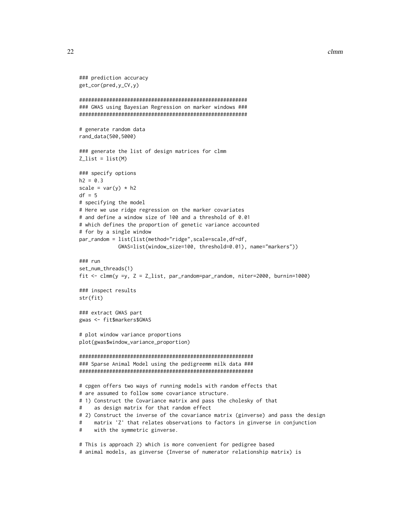```
### prediction accuracy
get_cor(pred,y_CV,y)
########################################################
### GWAS using Bayesian Regression on marker windows ###
########################################################
# generate random data
rand_data(500,5000)
### generate the list of design matrices for clmm
Z_{\text{l}}ist = list(M)### specify options
h2 = 0.3scale = var(y) * h2df = 5# specifying the model
# Here we use ridge regression on the marker covariates
# and define a window size of 100 and a threshold of 0.01
# which defines the proportion of genetic variance accounted
# for by a single window
par_random = list(list(method="ridge",scale=scale,df=df,
            GWAS=list(window_size=100, threshold=0.01), name="markers"))
### run
set_num_threads(1)
fit <- clmm(y =y, Z = Z_list, par_random=par_random, niter=2000, burnin=1000)
### inspect results
str(fit)
### extract GWAS part
gwas <- fit$markers$GWAS
# plot window variance proportions
plot(gwas$window_variance_proportion)
##########################################################
### Sparse Animal Model using the pedigreemm milk data ###
##########################################################
# cpgen offers two ways of running models with random effects that
# are assumed to follow some covariance structure.
# 1) Construct the Covariance matrix and pass the cholesky of that
# as design matrix for that random effect
# 2) Construct the inverse of the covariance matrix (ginverse) and pass the design
# matrix 'Z' that relates observations to factors in ginverse in conjunction
# with the symmetric ginverse.
# This is approach 2) which is more convenient for pedigree based
```

```
# animal models, as ginverse (Inverse of numerator relationship matrix) is
```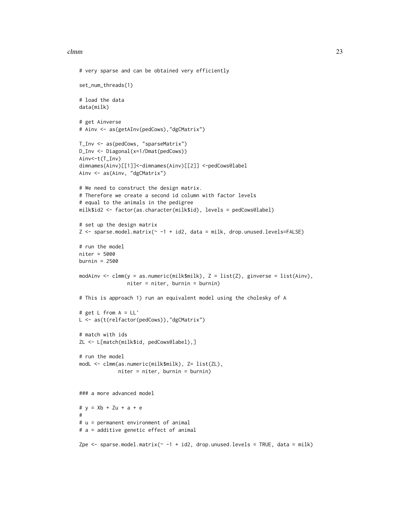```
# very sparse and can be obtained very efficiently
set_num_threads(1)
# load the data
data(milk)
# get Ainverse
# Ainv <- as(getAInv(pedCows),"dgCMatrix")
T_Inv <- as(pedCows, "sparseMatrix")
D_Inv <- Diagonal(x=1/Dmat(pedCows))
Ainv<-t(T_Inv)
dimnames(Ainv)[[1]]<-dimnames(Ainv)[[2]] <-pedCows@label
Ainv <- as(Ainv, "dgCMatrix")
# We need to construct the design matrix.
# Therefore we create a second id column with factor levels
# equal to the animals in the pedigree
milk$id2 <- factor(as.character(milk$id), levels = pedCows@label)
# set up the design matrix
Z <- sparse.model.matrix(~ -1 + id2, data = milk, drop.unused.levels=FALSE)
# run the model
niter = 5000
burnin = 2500modAinv <- clmm(y = as.numeric(milk$milk), Z = list(Z), ginverse = list(Ainv),
                niter = niter, burnin = burnin)
# This is approach 1) run an equivalent model using the cholesky of A
# get L from A = LL'
L <- as(t(relfactor(pedCows)),"dgCMatrix")
# match with ids
ZL <- L[match(milk$id, pedCows@label),]
# run the model
modL <- clmm(as.numeric(milk$milk), Z= list(ZL),
             niter = niter, burnin = burnin)
### a more advanced model
# y = Xb + Zu + a + e
#
# u = permanent environment of animal
# a = additive genetic effect of animal
Zpe \le sparse.model.matrix(\sim -1 + id2, drop.unused.levels = TRUE, data = milk)
```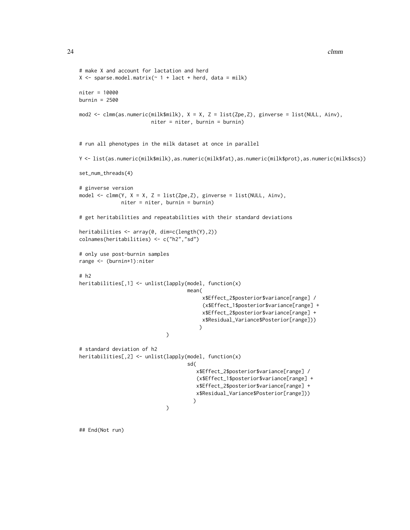```
# make X and account for lactation and herd
X \leq sparse.model.matrix(\sim 1 + lact + herd, data = milk)
niter = 10000
burnin = 2500
mod2 <- clmm(as.numeric(milk$milk), X = X, Z = list(Zpe,Z), ginverse = list(NULL, Ainv),
                        niter = niter, burnin = burnin)
# run all phenotypes in the milk dataset at once in parallel
Y <- list(as.numeric(milk$milk),as.numeric(milk$fat),as.numeric(milk$prot),as.numeric(milk$scs))
set_num_threads(4)
# ginverse version
model <- clmm(Y, X = X, Z = list(Zpe,Z), ginverse = list(NULL, Ainv),
              niter = niter, burnin = burnin)
# get heritabilities and repeatabilities with their standard deviations
heritabilities <- array(0, dim=c(length(Y),2))
colnames(heritabilities) <- c("h2","sd")
# only use post-burnin samples
range <- (burnin+1):niter
# h2
heritabilities[,1] <- unlist(lapply(model, function(x)
                                    mean(
                                         x$Effect_2$posterior$variance[range] /
                                          (x$Effect_1$posterior$variance[range] +
                                         x$Effect_2$posterior$variance[range] +
                                         x$Residual_Variance$Posterior[range]))
                                         )
                             \lambda# standard deviation of h2
heritabilities[,2] <- unlist(lapply(model, function(x)
                                    sd(
                                       x$Effect_2$posterior$variance[range] /
                                        (x$Effect_1$posterior$variance[range] +
                                       x$Effect_2$posterior$variance[range] +
                                       x$Residual_Variance$Posterior[range]))
                                      )
                             )
```
## End(Not run)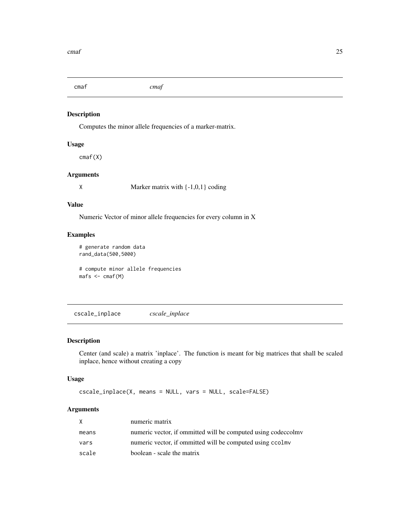<span id="page-24-0"></span>cmaf *cmaf*

# Description

Computes the minor allele frequencies of a marker-matrix.

#### Usage

cmaf(X)

# Arguments

X Marker matrix with  $\{-1,0,1\}$  coding

# Value

Numeric Vector of minor allele frequencies for every column in X

#### Examples

# generate random data rand\_data(500,5000)

# compute minor allele frequencies mafs <- cmaf(M)

cscale\_inplace *cscale\_inplace*

# Description

Center (and scale) a matrix 'inplace'. The function is meant for big matrices that shall be scaled inplace, hence without creating a copy

# Usage

```
cscale_inplace(X, means = NULL, vars = NULL, scale=FALSE)
```
# Arguments

| X     | numeric matrix                                                |
|-------|---------------------------------------------------------------|
| means | numeric vector, if ommitted will be computed using codeccolmy |
| vars  | numeric vector, if ommitted will be computed using ccolmy     |
| scale | boolean - scale the matrix                                    |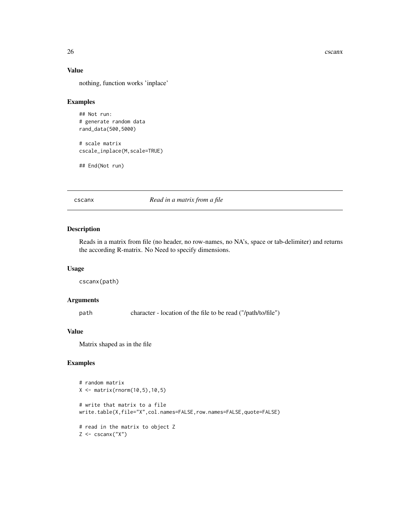<span id="page-25-0"></span>26 cscanx

# Value

nothing, function works 'inplace'

# Examples

## Not run: # generate random data rand\_data(500,5000)

# scale matrix cscale\_inplace(M,scale=TRUE)

## End(Not run)

cscanx *Read in a matrix from a file*

# Description

Reads in a matrix from file (no header, no row-names, no NA's, space or tab-delimiter) and returns the according R-matrix. No Need to specify dimensions.

# Usage

cscanx(path)

#### Arguments

path character - location of the file to be read ("/path/to/file")

# Value

Matrix shaped as in the file

# Examples

```
# random matrix
X <- matrix(rnorm(10,5),10,5)
# write that matrix to a file
write.table(X,file="X",col.names=FALSE,row.names=FALSE,quote=FALSE)
# read in the matrix to object Z
Z \leftarrow \text{cscan}(''X'')
```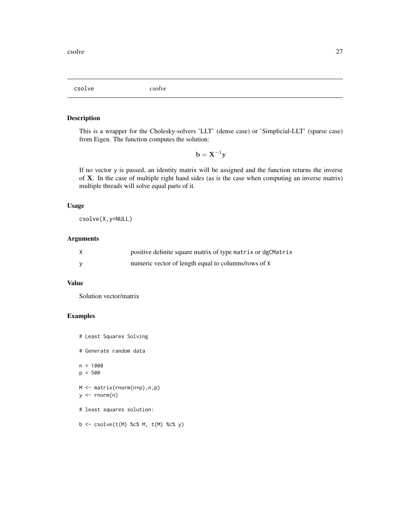<span id="page-26-0"></span>csolve *csolve*

# Description

This is a wrapper for the Cholesky-solvers 'LLT' (dense case) or 'Simplicial-LLT' (sparse case) from Eigen. The function computes the solution:

 $\mathbf{b} = \mathbf{X}^{-1}\mathbf{y}$ 

If no vector y is passed, an identity matrix will be assigned and the function returns the inverse of X. In the case of multiple right hand sides (as is the case when computing an inverse matrix) multiple threads will solve equal parts of it.

# Usage

csolve(X,y=NULL)

# Arguments

| positive definite square matrix of type matrix or dgCMatrix |
|-------------------------------------------------------------|
| numeric vector of length equal to columns/rows of X         |

# Value

Solution vector/matrix

# Examples

```
# Least Squares Solving
# Generate random data
n = 1000
p = 500
M <- matrix(rnorm(n*p),n,p)
y \le - rnorm(n)# least squares solution:
b \leq -\text{csolve}(t(M) %c % M, t(M) %c % y)
```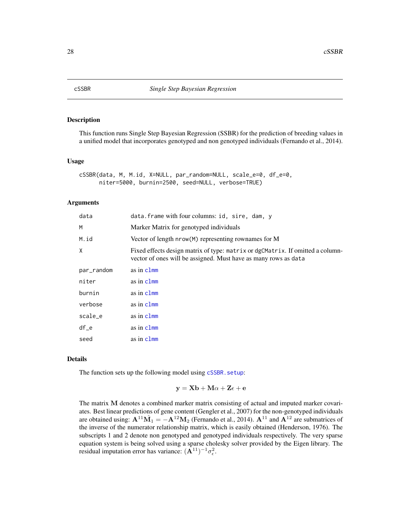# <span id="page-27-1"></span><span id="page-27-0"></span>Description

This function runs Single Step Bayesian Regression (SSBR) for the prediction of breeding values in a unified model that incorporates genotyped and non genotyped individuals (Fernando et al., 2014).

# Usage

```
cSSBR(data, M, M.id, X=NULL, par_random=NULL, scale_e=0, df_e=0,
     niter=5000, burnin=2500, seed=NULL, verbose=TRUE)
```
#### Arguments

| data       | data.frame with four columns: id, sire, dam, y                                                                                                    |
|------------|---------------------------------------------------------------------------------------------------------------------------------------------------|
| M          | Marker Matrix for genotyped individuals                                                                                                           |
| M.id       | Vector of length nrow(M) representing rownames for M                                                                                              |
| X          | Fixed effects design matrix of type: matrix or dgCMatrix. If omitted a column-<br>vector of ones will be assigned. Must have as many rows as data |
| par_random | as in clmm                                                                                                                                        |
| niter      | as in clmm                                                                                                                                        |
| burnin     | as in clmm                                                                                                                                        |
| verbose    | as in clmm                                                                                                                                        |
| scale_e    | as in clmm                                                                                                                                        |
| $df_e$     | as in clmm                                                                                                                                        |
| seed       | as in clmm                                                                                                                                        |

# Details

The function sets up the following model using [cSSBR.setup](#page-29-1):

$$
\mathbf{y} = \mathbf{X}\mathbf{b} + \mathbf{M}\alpha + \mathbf{Z}\epsilon + \mathbf{e}
$$

The matrix M denotes a combined marker matrix consisting of actual and imputed marker covariates. Best linear predictions of gene content (Gengler et al., 2007) for the non-genotyped individuals are obtained using:  $A^{11} \hat{M}_1 = -A^{12} M_2$  (Fernando et al., 2014).  $A^{11}$  and  $A^{12}$  are submatrices of the inverse of the numerator relationship matrix, which is easily obtained (Henderson, 1976). The subscripts 1 and 2 denote non genotyped and genotyped individuals respectively. The very sparse equation system is being solved using a sparse cholesky solver provided by the Eigen library. The residual imputation error has variance:  $(A^{11})^{-1} \sigma_{\epsilon}^2$ .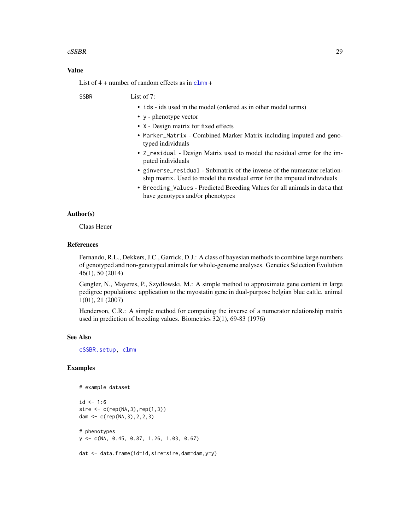#### <span id="page-28-0"></span> $\text{cSSBR}$  29

# Value

List of  $4 +$  number of random effects as in  $clmm +$  $clmm +$ 

SSBR List of 7:

- ids ids used in the model (ordered as in other model terms)
- y phenotype vector
- X Design matrix for fixed effects
- Marker\_Matrix Combined Marker Matrix including imputed and genotyped individuals
- Z\_residual Design Matrix used to model the residual error for the imputed individuals
- ginverse\_residual Submatrix of the inverse of the numerator relationship matrix. Used to model the residual error for the imputed individuals
- Breeding\_Values Predicted Breeding Values for all animals in data that have genotypes and/or phenotypes

# Author(s)

Claas Heuer

# References

Fernando, R.L., Dekkers, J.C., Garrick, D.J.: A class of bayesian methods to combine large numbers of genotyped and non-genotyped animals for whole-genome analyses. Genetics Selection Evolution 46(1), 50 (2014)

Gengler, N., Mayeres, P., Szydlowski, M.: A simple method to approximate gene content in large pedigree populations: application to the myostatin gene in dual-purpose belgian blue cattle. animal 1(01), 21 (2007)

Henderson, C.R.: A simple method for computing the inverse of a numerator relationship matrix used in prediction of breeding values. Biometrics 32(1), 69-83 (1976)

#### See Also

[cSSBR.setup,](#page-29-1) [clmm](#page-15-1)

# Examples

```
# example dataset
```

```
id < -1:6sire \leq c(rep(NA, 3), rep(1, 3))
dam <- c(rep(NA,3),2,2,3)
# phenotypes
y <- c(NA, 0.45, 0.87, 1.26, 1.03, 0.67)
```
dat <- data.frame(id=id,sire=sire,dam=dam,y=y)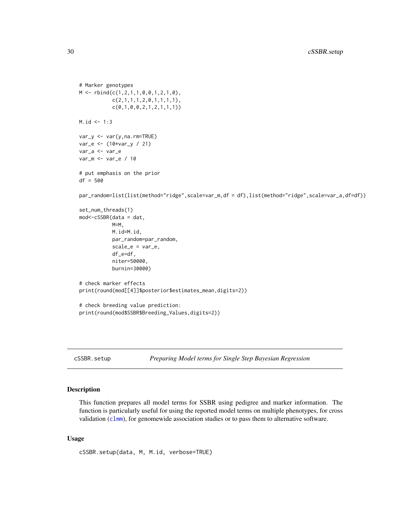```
# Marker genotypes
M \leftarrow \text{rbind}(c(1, 2, 1, 1, 0, 0, 1, 2, 1, 0))c(2,1,1,1,2,0,1,1,1,1),
           c(0,1,0,0,2,1,2,1,1,1))
M.id < -1:3var_y <- var(y,na.rm=TRUE)
var_e <- (10*var_y / 21)
var_a <- var_e
var_m <- var_e / 10
# put emphasis on the prior
df = 500
par_random=list(list(method="ridge",scale=var_m,df = df),list(method="ridge",scale=var_a,df=df))
set_num_threads(1)
mod<-cSSBR(data = dat,
           M=M,
           M.id=M.id,
           par_random=par_random,
           scale_e = var_e,
           df_e=df,
           niter=50000,
           burnin=30000)
# check marker effects
print(round(mod[[4]]$posterior$estimates_mean,digits=2))
# check breeding value prediction:
print(round(mod$SSBR$Breeding_Values,digits=2))
```
<span id="page-29-1"></span>cSSBR.setup *Preparing Model terms for Single Step Bayesian Regression*

#### Description

This function prepares all model terms for SSBR using pedigree and marker information. The function is particularly useful for using the reported model terms on multiple phenotypes, for cross validation ([clmm](#page-15-1)), for genomewide association studies or to pass them to alternative software.

# Usage

```
cSSBR.setup(data, M, M.id, verbose=TRUE)
```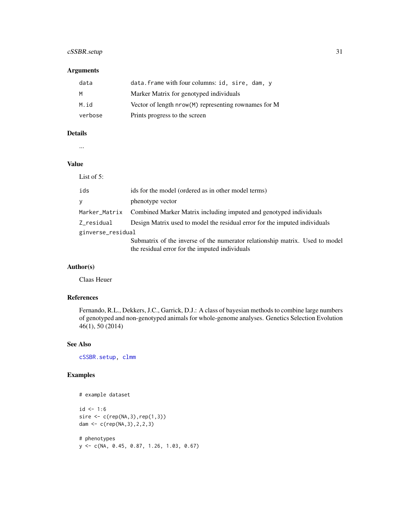# <span id="page-30-0"></span>cSSBR.setup 31

# Arguments

| data    | data.frame with four columns: id, sire, dam, y       |
|---------|------------------------------------------------------|
| M       | Marker Matrix for genotyped individuals              |
| M.id    | Vector of length nrow(M) representing rownames for M |
| verbose | Prints progress to the screen                        |

# Details

...

#### Value

| List of $5$ :     |                                                                                                                                |  |
|-------------------|--------------------------------------------------------------------------------------------------------------------------------|--|
| ids               | ids for the model (ordered as in other model terms)                                                                            |  |
| y                 | phenotype vector                                                                                                               |  |
|                   | Marker_Matrix Combined Marker Matrix including imputed and genotyped individuals                                               |  |
| Z_residual        | Design Matrix used to model the residual error for the imputed individuals                                                     |  |
| ginverse_residual |                                                                                                                                |  |
|                   | Submatrix of the inverse of the numerator relationship matrix. Used to model<br>the residual error for the imputed individuals |  |

# Author(s)

Claas Heuer

# References

Fernando, R.L., Dekkers, J.C., Garrick, D.J.: A class of bayesian methods to combine large numbers of genotyped and non-genotyped animals for whole-genome analyses. Genetics Selection Evolution 46(1), 50 (2014)

#### See Also

[cSSBR.setup,](#page-29-1) [clmm](#page-15-1)

# Examples

```
# example dataset
```

```
id < -1:6sire \leq c(rep(NA, 3), rep(1, 3))
dam <- c(rep(NA,3),2,2,3)
```

```
# phenotypes
y <- c(NA, 0.45, 0.87, 1.26, 1.03, 0.67)
```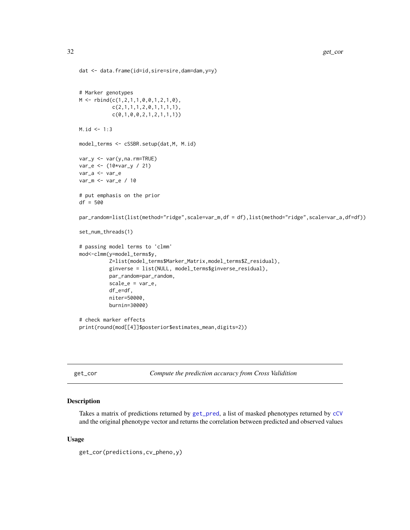```
dat <- data.frame(id=id,sire=sire,dam=dam,y=y)
```

```
# Marker genotypes
M \leftarrow \text{rbind}(c(1, 2, 1, 1, 0, 0, 1, 2, 1, 0),c(2,1,1,1,2,0,1,1,1,1),
           c(0,1,0,0,2,1,2,1,1,1))
M.id < -1:3model_terms <- cSSBR.setup(dat,M, M.id)
var_y <- var(y,na.rm=TRUE)
var_e <- (10*var_y / 21)
var_a <- var_e
var_m <- var_e / 10
# put emphasis on the prior
df = 500par_random=list(list(method="ridge",scale=var_m,df = df),list(method="ridge",scale=var_a,df=df))
set_num_threads(1)
# passing model terms to 'clmm'
mod<-clmm(y=model_terms$y,
          Z=list(model_terms$Marker_Matrix,model_terms$Z_residual),
          ginverse = list(NULL, model_terms$ginverse_residual),
          par_random=par_random,
          scale_e = var_e,
          df_e=df,
          niter=50000,
          burnin=30000)
# check marker effects
print(round(mod[[4]]$posterior$estimates_mean,digits=2))
```
<span id="page-31-1"></span>get\_cor *Compute the prediction accuracy from Cross Validition*

# Description

Takes a matrix of predictions returned by [get\\_pred](#page-34-1), a list of masked phenotypes returned by [cCV](#page-4-1) and the original phenotype vector and returns the correlation between predicted and observed values

#### Usage

get\_cor(predictions,cv\_pheno,y)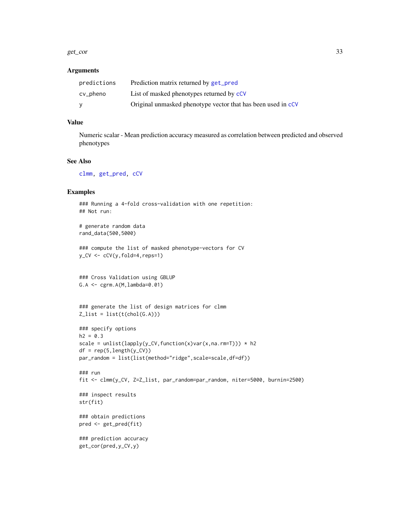#### <span id="page-32-0"></span>get\_cor 33

#### Arguments

| predictions | Prediction matrix returned by get_pred                       |
|-------------|--------------------------------------------------------------|
| cv_pheno    | List of masked phenotypes returned by cCV                    |
| v           | Original unmasked phenotype vector that has been used in cCV |

# Value

Numeric scalar - Mean prediction accuracy measured as correlation between predicted and observed phenotypes

#### See Also

[clmm,](#page-15-1) [get\\_pred,](#page-34-1) [cCV](#page-4-1)

## Examples

### Running a 4-fold cross-validation with one repetition: ## Not run:

```
# generate random data
rand_data(500,5000)
```

```
### compute the list of masked phenotype-vectors for CV
y_CV \leftarrow CCV(y, fold=4, reps=1)
```

```
### Cross Validation using GBLUP
G.A \leftarrow \text{cgrm.A}(M, \text{lambda=0.01})
```

```
### generate the list of design matrices for clmm
Z_list = list(t(chol(G.A)))
```

```
### specify options
h2 = 0.3scale = unlist(lapply(y_CV,function(x)var(x,na.rm=T))) * h2
df = rep(5, length(y_CV))par_random = list(list(method="ridge",scale=scale,df=df))
```

```
### run
fit <- clmm(y_CV, Z=Z_list, par_random=par_random, niter=5000, burnin=2500)
```

```
### inspect results
str(fit)
```

```
### obtain predictions
pred <- get_pred(fit)
```

```
### prediction accuracy
get_cor(pred,y_CV,y)
```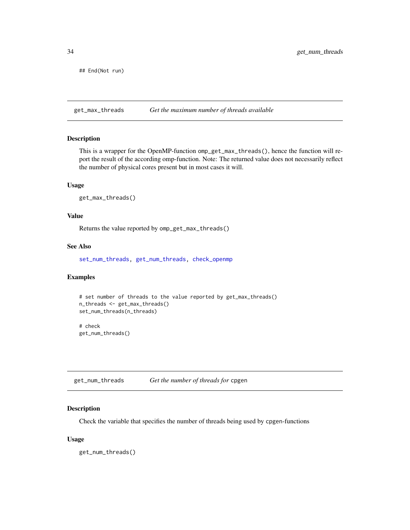<span id="page-33-0"></span>## End(Not run)

<span id="page-33-2"></span>get\_max\_threads *Get the maximum number of threads available*

# Description

This is a wrapper for the OpenMP-function omp\_get\_max\_threads(), hence the function will report the result of the according omp-function. Note: The returned value does not necessarily reflect the number of physical cores present but in most cases it will.

#### Usage

```
get_max_threads()
```
#### Value

Returns the value reported by omp\_get\_max\_threads()

# See Also

[set\\_num\\_threads,](#page-37-1) [get\\_num\\_threads,](#page-33-1) [check\\_openmp](#page-15-2)

#### Examples

```
# set number of threads to the value reported by get_max_threads()
n_threads <- get_max_threads()
set_num_threads(n_threads)
# check
get_num_threads()
```
<span id="page-33-1"></span>get\_num\_threads *Get the number of threads for* cpgen

# Description

Check the variable that specifies the number of threads being used by cpgen-functions

#### Usage

get\_num\_threads()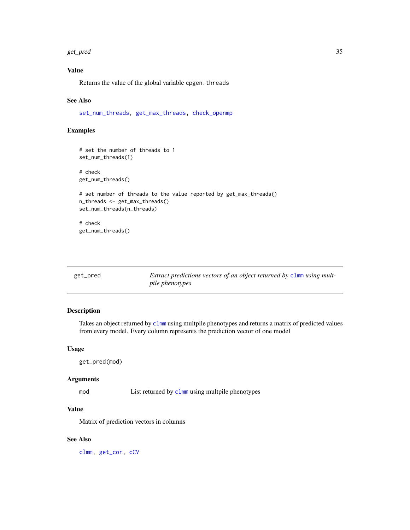#### <span id="page-34-0"></span>get\_pred 35

# Value

Returns the value of the global variable cpgen. threads

#### See Also

[set\\_num\\_threads,](#page-37-1) [get\\_max\\_threads,](#page-33-2) [check\\_openmp](#page-15-2)

# Examples

```
# set the number of threads to 1
set_num_threads(1)
# check
get_num_threads()
# set number of threads to the value reported by get_max_threads()
n_threads <- get_max_threads()
set_num_threads(n_threads)
# check
get_num_threads()
```
<span id="page-34-1"></span>

| get_pred | Extract predictions vectors of an object returned by clmm using mult- |
|----------|-----------------------------------------------------------------------|
|          | <i>pile phenotypes</i>                                                |

#### Description

Takes an object returned by [clmm](#page-15-1) using multpile phenotypes and returns a matrix of predicted values from every model. Every column represents the prediction vector of one model

# Usage

get\_pred(mod)

# Arguments

mod List returned by [clmm](#page-15-1) using multpile phenotypes

# Value

Matrix of prediction vectors in columns

#### See Also

[clmm,](#page-15-1) [get\\_cor,](#page-31-1) [cCV](#page-4-1)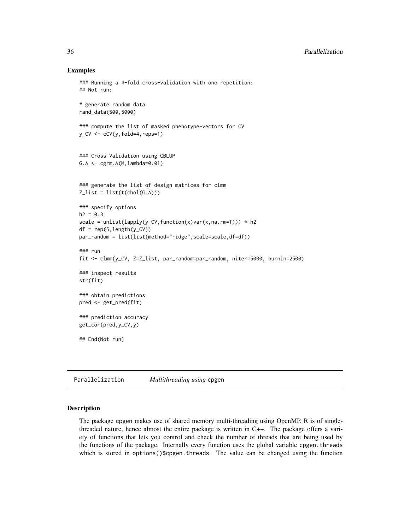#### Examples

```
### Running a 4-fold cross-validation with one repetition:
## Not run:
# generate random data
rand_data(500,5000)
### compute the list of masked phenotype-vectors for CV
y_CV \leftarrow CCV(y, fold=4, reps=1)### Cross Validation using GBLUP
G.A <- cgrm.A(M,lambda=0.01)
### generate the list of design matrices for clmm
Z_list = list(t(chol(G.A)))### specify options
h2 = 0.3scale = unlist(lapply(y_CV,function(x)var(x,na.rm=T))) * h2
df = rep(5, length(y_CV))par_random = list(list(method="ridge",scale=scale,df=df))
### run
fit <- clmm(y_CV, Z=Z_list, par_random=par_random, niter=5000, burnin=2500)
### inspect results
str(fit)
### obtain predictions
pred <- get_pred(fit)
### prediction accuracy
get_cor(pred,y_CV,y)
## End(Not run)
```
Parallelization *Multithreading using* cpgen

# Description

The package cpgen makes use of shared memory multi-threading using OpenMP. R is of singlethreaded nature, hence almost the entire package is written in C++. The package offers a variety of functions that lets you control and check the number of threads that are being used by the functions of the package. Internally every function uses the global variable cpgen.threads which is stored in options()\$cpgen.threads. The value can be changed using the function

<span id="page-35-0"></span>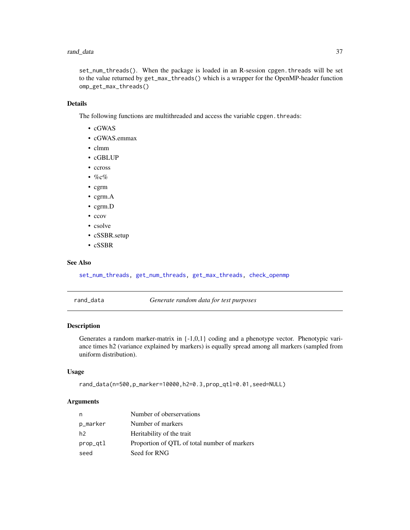#### <span id="page-36-0"></span>rand\_data 37

set\_num\_threads(). When the package is loaded in an R-session cpgen.threads will be set to the value returned by get\_max\_threads() which is a wrapper for the OpenMP-header function omp\_get\_max\_threads()

# Details

The following functions are multithreaded and access the variable cpgen.threads:

- cGWAS
- cGWAS.emmax
- clmm
- cGBLUP
- ccross
- % $\sqrt{c}$ %
- cgrm
- cgrm.A
- cgrm.D
- ccov
- csolve
- cSSBR.setup
- cSSBR

#### See Also

[set\\_num\\_threads,](#page-37-1) [get\\_num\\_threads,](#page-33-1) [get\\_max\\_threads,](#page-33-2) [check\\_openmp](#page-15-2)

rand\_data *Generate random data for test purposes*

#### Description

Generates a random marker-matrix in {-1,0,1} coding and a phenotype vector. Phenotypic variance times h2 (variance explained by markers) is equally spread among all markers (sampled from uniform distribution).

# Usage

rand\_data(n=500,p\_marker=10000,h2=0.3,prop\_qtl=0.01,seed=NULL)

#### Arguments

| n        | Number of oberservations                     |
|----------|----------------------------------------------|
| p_marker | Number of markers                            |
| h2       | Heritability of the trait                    |
| prop_qtl | Proportion of OTL of total number of markers |
| seed     | Seed for RNG                                 |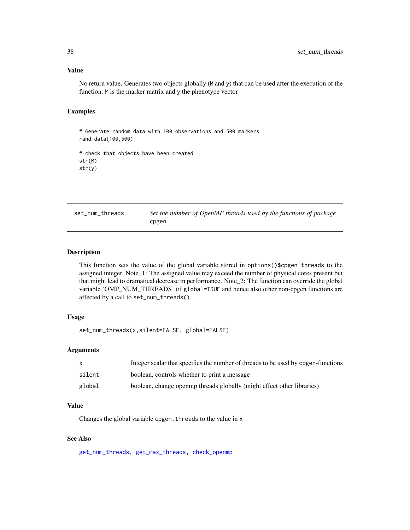#### Value

No return value. Generates two objects globally (M and y) that can be used after the execution of the function. M is the marker matrix and y the phenotype vector

#### Examples

```
# Generate random data with 100 observations and 500 markers
rand_data(100,500)
# check that objects have been created
str(M)
str(y)
```
<span id="page-37-1"></span>set\_num\_threads *Set the number of OpenMP threads used by the functions of package* cpgen

#### Description

This function sets the value of the global variable stored in options()\$cpgen.threads to the assigned integer. Note\_1: The assigned value may exceed the number of physical cores present but that might lead to dramatical decrease in performance. Note\_2: The function can override the global variable 'OMP\_NUM\_THREADS' (if global=TRUE and hence also other non-cpgen functions are affected by a call to set\_num\_threads().

# Usage

set\_num\_threads(x,silent=FALSE, global=FALSE)

# Arguments

|        | Integer scalar that specifies the number of threads to be used by opgen-functions |
|--------|-----------------------------------------------------------------------------------|
| silent | boolean, controls whether to print a message                                      |
| global | boolean, change open mp threads globally (might effect other libraries)           |

#### Value

Changes the global variable cpgen.threads to the value in x

# See Also

[get\\_num\\_threads,](#page-33-1) [get\\_max\\_threads,](#page-33-2) [check\\_openmp](#page-15-2)

<span id="page-37-0"></span>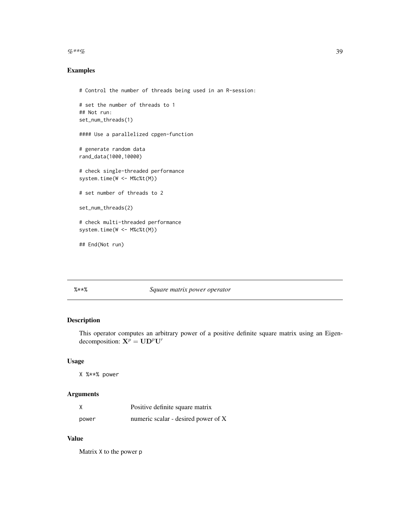<span id="page-38-0"></span> $\%**\%$  39

# Examples

```
# Control the number of threads being used in an R-session:
# set the number of threads to 1
## Not run:
set_num_threads(1)
#### Use a parallelized cpgen-function
# generate random data
rand_data(1000,10000)
# check single-threaded performance
system.time(W <- M%c%t(M))
# set number of threads to 2
set_num_threads(2)
```
# check multi-threaded performance system.time(W <- M%c%t(M))

## End(Not run)

# %\*\*% *Square matrix power operator*

# Description

This operator computes an arbitrary power of a positive definite square matrix using an Eigendecomposition:  $X^p = UD^pU'$ 

# Usage

X %\*\*% power

# Arguments

|       | Positive definite square matrix     |
|-------|-------------------------------------|
| power | numeric scalar - desired power of X |

# Value

Matrix X to the power p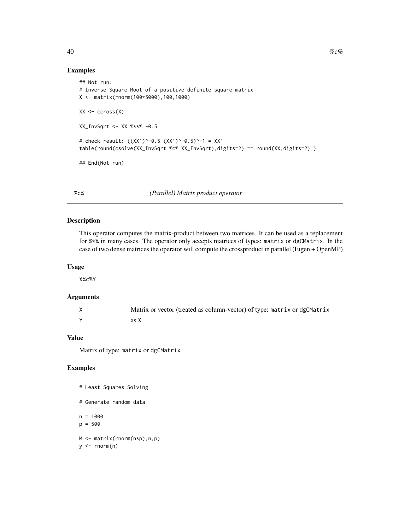# Examples

```
## Not run:
# Inverse Square Root of a positive definite square matrix
X <- matrix(rnorm(100*5000),100,1000)
XX \leftarrow \text{cross}(X)XX_InvSqrt <- XX %**% -0.5
# check result: ((XX')^-0.5 (XX')^-0.5)^-1 = XX'
table(round(csolve(XX_InvSqrt %c% XX_InvSqrt),digits=2) == round(XX,digits=2) )
## End(Not run)
```
%c% *(Parallel) Matrix product operator*

# Description

This operator computes the matrix-product between two matrices. It can be used as a replacement for %\*% in many cases. The operator only accepts matrices of types: matrix or dgCMatrix. In the case of two dense matrices the operator will compute the crossproduct in parallel (Eigen + OpenMP)

#### Usage

X%c%Y

# Arguments

| Matrix or vector (treated as column-vector) of type: matrix or dgCMatrix |
|--------------------------------------------------------------------------|
| as X                                                                     |

#### Value

Matrix of type: matrix or dgCMatrix

# Examples

# Least Squares Solving

```
# Generate random data
```
n = 1000 p = 500

M <- matrix(rnorm(n\*p),n,p)

<span id="page-39-0"></span>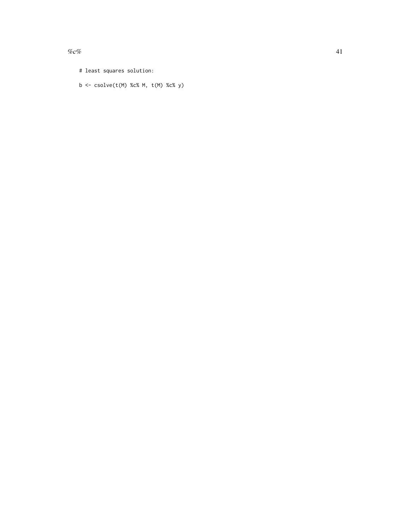$\%c\%$  41

b <- csolve(t(M) %c% M, t(M) %c% y)